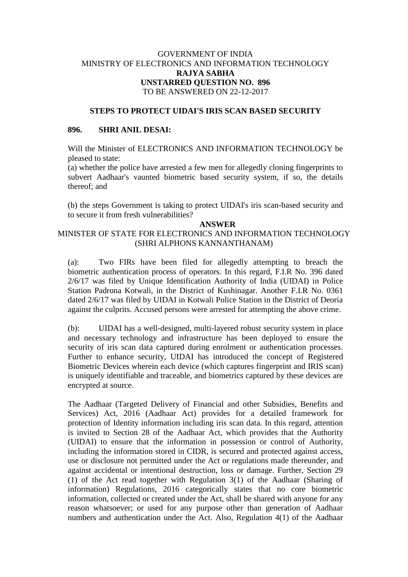## GOVERNMENT OF INDIA MINISTRY OF ELECTRONICS AND INFORMATION TECHNOLOGY **RAJYA SABHA UNSTARRED QUESTION NO. 896** TO BE ANSWERED ON 22-12-2017

### **STEPS TO PROTECT UIDAI'S IRIS SCAN BASED SECURITY**

#### **896. SHRI ANIL DESAI:**

Will the Minister of ELECTRONICS AND INFORMATION TECHNOLOGY be pleased to state:

(a) whether the police have arrested a few men for allegedly cloning fingerprints to subvert Aadhaar's vaunted biometric based security system, if so, the details thereof; and

(b) the steps Government is taking to protect UIDAI's iris scan-based security and to secure it from fresh vulnerabilities?

#### **ANSWER**

# MINISTER OF STATE FOR ELECTRONICS AND INFORMATION TECHNOLOGY (SHRI ALPHONS KANNANTHANAM)

(a): Two FIRs have been filed for allegedly attempting to breach the biometric authentication process of operators. In this regard, F.I.R No. 396 dated 2/6/17 was filed by Unique Identification Authority of India (UIDAI) in Police Station Padrona Kotwali, in the District of Kushinagar. Another F.I.R No. 0361 dated 2/6/17 was filed by UIDAI in Kotwali Police Station in the District of Deoria against the culprits. Accused persons were arrested for attempting the above crime.

(b): UIDAI has a well-designed, multi-layered robust security system in place and necessary technology and infrastructure has been deployed to ensure the security of iris scan data captured during enrolment or authentication processes. Further to enhance security, UIDAI has introduced the concept of Registered Biometric Devices wherein each device (which captures fingerprint and IRIS scan) is uniquely identifiable and traceable, and biometrics captured by these devices are encrypted at source.

The Aadhaar (Targeted Delivery of Financial and other Subsidies, Benefits and Services) Act, 2016 (Aadhaar Act) provides for a detailed framework for protection of Identity information including iris scan data. In this regard, attention is invited to Section 28 of the Aadhaar Act, which provides that the Authority (UIDAI) to ensure that the information in possession or control of Authority, including the information stored in CIDR, is secured and protected against access, use or disclosure not permitted under the Act or regulations made thereunder, and against accidental or intentional destruction, loss or damage. Further, Section 29 (1) of the Act read together with Regulation 3(1) of the Aadhaar (Sharing of information) Regulations, 2016 categorically states that no core biometric information, collected or created under the Act, shall be shared with anyone for any reason whatsoever; or used for any purpose other than generation of Aadhaar numbers and authentication under the Act. Also, Regulation 4(1) of the Aadhaar